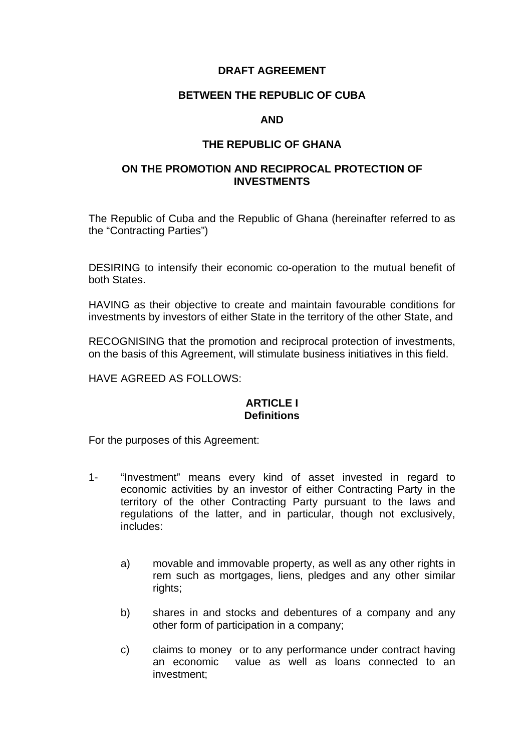## **DRAFT AGREEMENT**

### **BETWEEN THE REPUBLIC OF CUBA**

## **AND**

## **THE REPUBLIC OF GHANA**

# **ON THE PROMOTION AND RECIPROCAL PROTECTION OF INVESTMENTS**

The Republic of Cuba and the Republic of Ghana (hereinafter referred to as the "Contracting Parties")

DESIRING to intensify their economic co-operation to the mutual benefit of both States.

HAVING as their objective to create and maintain favourable conditions for investments by investors of either State in the territory of the other State, and

RECOGNISING that the promotion and reciprocal protection of investments, on the basis of this Agreement, will stimulate business initiatives in this field.

HAVE AGREED AS FOLLOWS:

## **ARTICLE I Definitions**

For the purposes of this Agreement:

- 1- "Investment" means every kind of asset invested in regard to economic activities by an investor of either Contracting Party in the territory of the other Contracting Party pursuant to the laws and regulations of the latter, and in particular, though not exclusively, includes:
	- a) movable and immovable property, as well as any other rights in rem such as mortgages, liens, pledges and any other similar rights;
	- b) shares in and stocks and debentures of a company and any other form of participation in a company;
	- c) claims to money or to any performance under contract having an economic value as well as loans connected to an investment;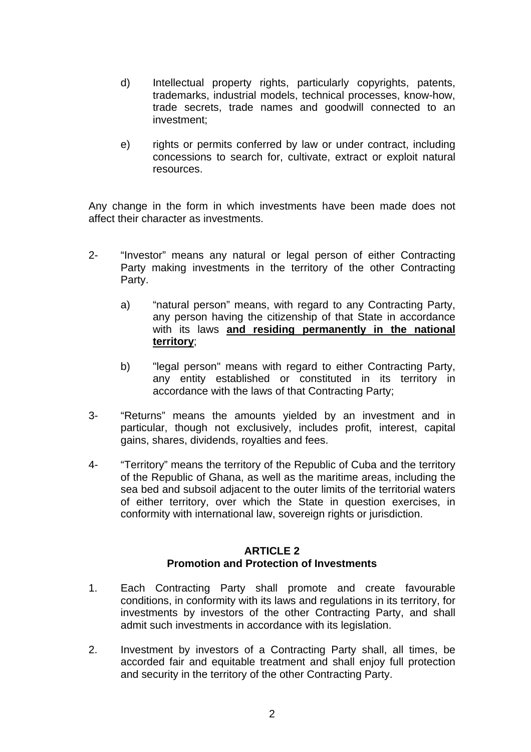- d) Intellectual property rights, particularly copyrights, patents, trademarks, industrial models, technical processes, know-how, trade secrets, trade names and goodwill connected to an investment;
- e) rights or permits conferred by law or under contract, including concessions to search for, cultivate, extract or exploit natural resources.

Any change in the form in which investments have been made does not affect their character as investments.

- 2- "Investor" means any natural or legal person of either Contracting Party making investments in the territory of the other Contracting Party.
	- a) "natural person" means, with regard to any Contracting Party, any person having the citizenship of that State in accordance with its laws **and residing permanently in the national territory**;
	- b) "legal person" means with regard to either Contracting Party, any entity established or constituted in its territory in accordance with the laws of that Contracting Party;
- 3- "Returns" means the amounts yielded by an investment and in particular, though not exclusively, includes profit, interest, capital gains, shares, dividends, royalties and fees.
- 4- "Territory" means the territory of the Republic of Cuba and the territory of the Republic of Ghana, as well as the maritime areas, including the sea bed and subsoil adjacent to the outer limits of the territorial waters of either territory, over which the State in question exercises, in conformity with international law, sovereign rights or jurisdiction.

# **ARTICLE 2 Promotion and Protection of Investments**

- 1. Each Contracting Party shall promote and create favourable conditions, in conformity with its laws and regulations in its territory, for investments by investors of the other Contracting Party, and shall admit such investments in accordance with its legislation.
- 2. Investment by investors of a Contracting Party shall, all times, be accorded fair and equitable treatment and shall enjoy full protection and security in the territory of the other Contracting Party.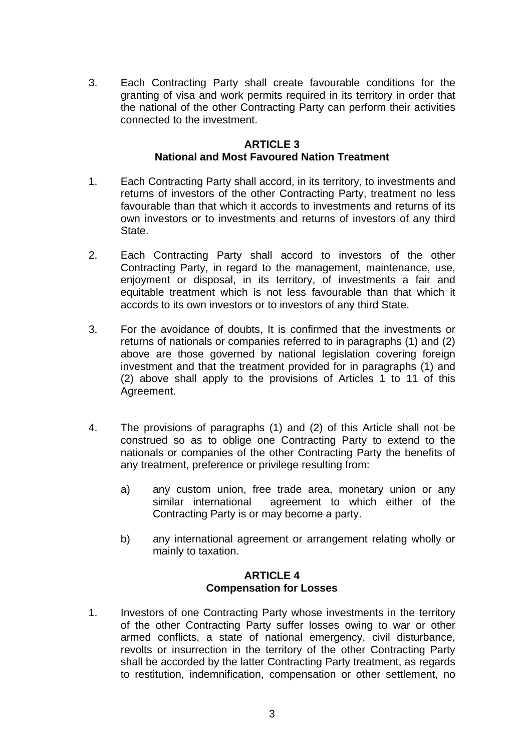3. Each Contracting Party shall create favourable conditions for the granting of visa and work permits required in its territory in order that the national of the other Contracting Party can perform their activities connected to the investment.

# **ARTICLE 3 National and Most Favoured Nation Treatment**

- 1. Each Contracting Party shall accord, in its territory, to investments and returns of investors of the other Contracting Party, treatment no less favourable than that which it accords to investments and returns of its own investors or to investments and returns of investors of any third State.
- 2. Each Contracting Party shall accord to investors of the other Contracting Party, in regard to the management, maintenance, use, enjoyment or disposal, in its territory, of investments a fair and equitable treatment which is not less favourable than that which it accords to its own investors or to investors of any third State.
- 3. For the avoidance of doubts, It is confirmed that the investments or returns of nationals or companies referred to in paragraphs (1) and (2) above are those governed by national legislation covering foreign investment and that the treatment provided for in paragraphs (1) and (2) above shall apply to the provisions of Articles 1 to 11 of this Agreement.
- 4. The provisions of paragraphs (1) and (2) of this Article shall not be construed so as to oblige one Contracting Party to extend to the nationals or companies of the other Contracting Party the benefits of any treatment, preference or privilege resulting from:
	- a) any custom union, free trade area, monetary union or any similar international agreement to which either of the Contracting Party is or may become a party.
	- b) any international agreement or arrangement relating wholly or mainly to taxation.

# **ARTICLE 4 Compensation for Losses**

1. Investors of one Contracting Party whose investments in the territory of the other Contracting Party suffer losses owing to war or other armed conflicts, a state of national emergency, civil disturbance, revolts or insurrection in the territory of the other Contracting Party shall be accorded by the latter Contracting Party treatment, as regards to restitution, indemnification, compensation or other settlement, no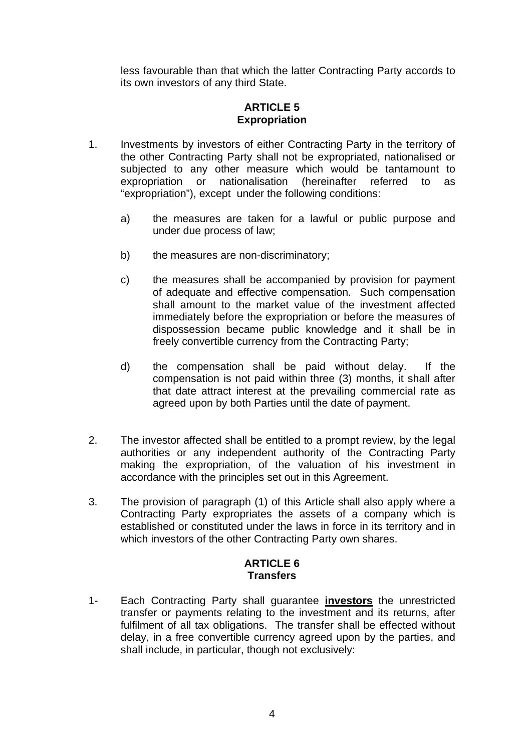less favourable than that which the latter Contracting Party accords to its own investors of any third State.

# **ARTICLE 5 Expropriation**

- 1. Investments by investors of either Contracting Party in the territory of the other Contracting Party shall not be expropriated, nationalised or subjected to any other measure which would be tantamount to expropriation or nationalisation (hereinafter referred to as "expropriation"), except under the following conditions:
	- a) the measures are taken for a lawful or public purpose and under due process of law;
	- b) the measures are non-discriminatory;
	- c) the measures shall be accompanied by provision for payment of adequate and effective compensation. Such compensation shall amount to the market value of the investment affected immediately before the expropriation or before the measures of dispossession became public knowledge and it shall be in freely convertible currency from the Contracting Party;
	- d) the compensation shall be paid without delay. If the compensation is not paid within three (3) months, it shall after that date attract interest at the prevailing commercial rate as agreed upon by both Parties until the date of payment.
- 2. The investor affected shall be entitled to a prompt review, by the legal authorities or any independent authority of the Contracting Party making the expropriation, of the valuation of his investment in accordance with the principles set out in this Agreement.
- 3. The provision of paragraph (1) of this Article shall also apply where a Contracting Party expropriates the assets of a company which is established or constituted under the laws in force in its territory and in which investors of the other Contracting Party own shares.

# **ARTICLE 6 Transfers**

1- Each Contracting Party shall guarantee **investors** the unrestricted transfer or payments relating to the investment and its returns, after fulfilment of all tax obligations. The transfer shall be effected without delay, in a free convertible currency agreed upon by the parties, and shall include, in particular, though not exclusively: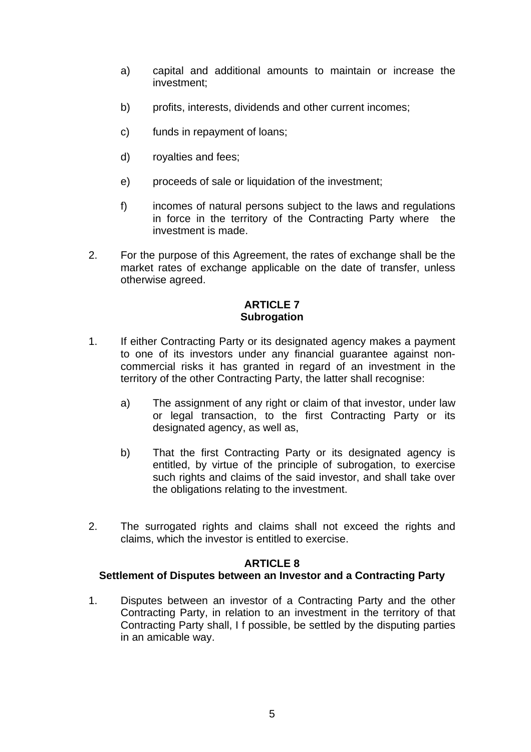- a) capital and additional amounts to maintain or increase the investment;
- b) profits, interests, dividends and other current incomes;
- c) funds in repayment of loans;
- d) royalties and fees;
- e) proceeds of sale or liquidation of the investment:
- f) incomes of natural persons subject to the laws and regulations in force in the territory of the Contracting Party where the investment is made.
- 2. For the purpose of this Agreement, the rates of exchange shall be the market rates of exchange applicable on the date of transfer, unless otherwise agreed.

## **ARTICLE 7 Subrogation**

- 1. If either Contracting Party or its designated agency makes a payment to one of its investors under any financial guarantee against noncommercial risks it has granted in regard of an investment in the territory of the other Contracting Party, the latter shall recognise:
	- a) The assignment of any right or claim of that investor, under law or legal transaction, to the first Contracting Party or its designated agency, as well as,
	- b) That the first Contracting Party or its designated agency is entitled, by virtue of the principle of subrogation, to exercise such rights and claims of the said investor, and shall take over the obligations relating to the investment.
- 2. The surrogated rights and claims shall not exceed the rights and claims, which the investor is entitled to exercise.

# **ARTICLE 8**

# **Settlement of Disputes between an Investor and a Contracting Party**

1. Disputes between an investor of a Contracting Party and the other Contracting Party, in relation to an investment in the territory of that Contracting Party shall, I f possible, be settled by the disputing parties in an amicable way.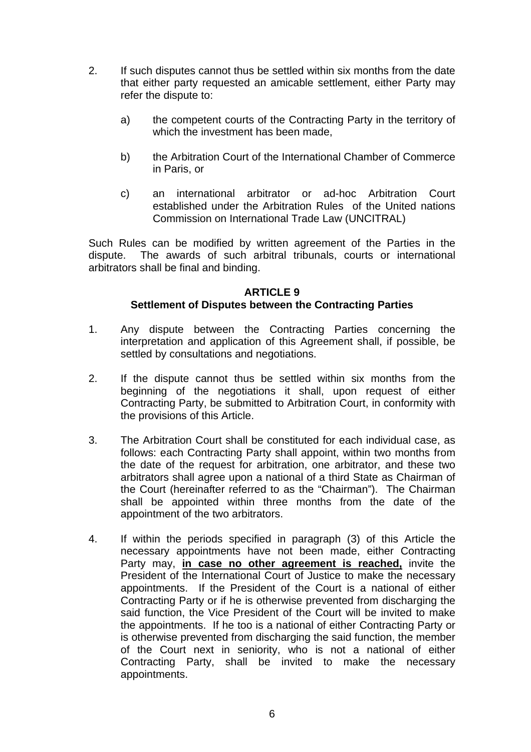- 2. If such disputes cannot thus be settled within six months from the date that either party requested an amicable settlement, either Party may refer the dispute to:
	- a) the competent courts of the Contracting Party in the territory of which the investment has been made,
	- b) the Arbitration Court of the International Chamber of Commerce in Paris, or
	- c) an international arbitrator or ad-hoc Arbitration Court established under the Arbitration Rules of the United nations Commission on International Trade Law (UNCITRAL)

Such Rules can be modified by written agreement of the Parties in the dispute. The awards of such arbitral tribunals, courts or international arbitrators shall be final and binding.

# **ARTICLE 9**

# **Settlement of Disputes between the Contracting Parties**

- 1. Any dispute between the Contracting Parties concerning the interpretation and application of this Agreement shall, if possible, be settled by consultations and negotiations.
- 2. If the dispute cannot thus be settled within six months from the beginning of the negotiations it shall, upon request of either Contracting Party, be submitted to Arbitration Court, in conformity with the provisions of this Article.
- 3. The Arbitration Court shall be constituted for each individual case, as follows: each Contracting Party shall appoint, within two months from the date of the request for arbitration, one arbitrator, and these two arbitrators shall agree upon a national of a third State as Chairman of the Court (hereinafter referred to as the "Chairman"). The Chairman shall be appointed within three months from the date of the appointment of the two arbitrators.
- 4. If within the periods specified in paragraph (3) of this Article the necessary appointments have not been made, either Contracting Party may, **in case no other agreement is reached,** invite the President of the International Court of Justice to make the necessary appointments. If the President of the Court is a national of either Contracting Party or if he is otherwise prevented from discharging the said function, the Vice President of the Court will be invited to make the appointments. If he too is a national of either Contracting Party or is otherwise prevented from discharging the said function, the member of the Court next in seniority, who is not a national of either Contracting Party, shall be invited to make the necessary appointments.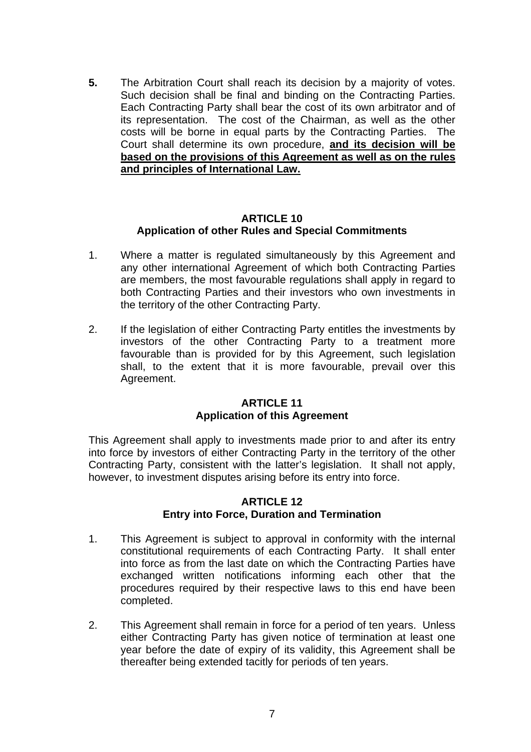**5.** The Arbitration Court shall reach its decision by a majority of votes. Such decision shall be final and binding on the Contracting Parties. Each Contracting Party shall bear the cost of its own arbitrator and of its representation. The cost of the Chairman, as well as the other costs will be borne in equal parts by the Contracting Parties. The Court shall determine its own procedure, **and its decision will be based on the provisions of this Agreement as well as on the rules and principles of International Law.**

## **ARTICLE 10 Application of other Rules and Special Commitments**

- 1. Where a matter is regulated simultaneously by this Agreement and any other international Agreement of which both Contracting Parties are members, the most favourable regulations shall apply in regard to both Contracting Parties and their investors who own investments in the territory of the other Contracting Party.
- 2. If the legislation of either Contracting Party entitles the investments by investors of the other Contracting Party to a treatment more favourable than is provided for by this Agreement, such legislation shall, to the extent that it is more favourable, prevail over this Agreement.

## **ARTICLE 11 Application of this Agreement**

This Agreement shall apply to investments made prior to and after its entry into force by investors of either Contracting Party in the territory of the other Contracting Party, consistent with the latter's legislation. It shall not apply, however, to investment disputes arising before its entry into force.

## **ARTICLE 12 Entry into Force, Duration and Termination**

- 1. This Agreement is subject to approval in conformity with the internal constitutional requirements of each Contracting Party. It shall enter into force as from the last date on which the Contracting Parties have exchanged written notifications informing each other that the procedures required by their respective laws to this end have been completed.
- 2. This Agreement shall remain in force for a period of ten years. Unless either Contracting Party has given notice of termination at least one year before the date of expiry of its validity, this Agreement shall be thereafter being extended tacitly for periods of ten years.